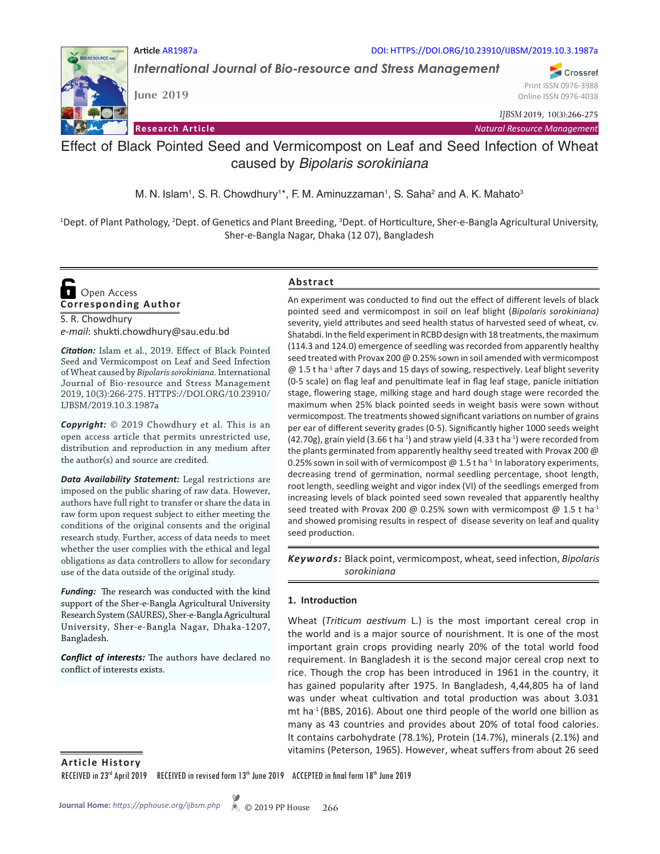#### **Article** AR1987a DOI: HTTPS://DOI.ORG/10.23910/IJBSM/2019.10.3.1987a

*International Journal of Bio-resource and Stress Management*

**June 2019**

*IJBSM* 2019, 10(3):266-275

Crossref

**Research Article** *Natural Resource Management*

# Effect of Black Pointed Seed and Vermicompost on Leaf and Seed Infection of Wheat caused by *Bipolaris sorokiniana*

M. N. Islam<sup>1</sup>, S. R. Chowdhury<sup>1\*</sup>, F. M. Aminuzzaman<sup>1</sup>, S. Saha<sup>2</sup> and A. K. Mahato<sup>3</sup>

<sup>1</sup>Dept. of Plant Pathology, <sup>2</sup>Dept. of Genetics and Plant Breeding, <sup>3</sup>Dept. of Horticulture, Sher-e-Bangla Agricultural University, Sher-e-Bangla Nagar, Dhaka (12 07), Bangladesh

## **Corresponding Author**  Open Access

S. R. Chowdhury *e-mail*: shukti.chowdhury@sau.edu.bd

*Citation:* Islam et al., 2019. Effect of Black Pointed Seed and Vermicompost on Leaf and Seed Infection of Wheat caused by *Bipolaris sorokiniana*. International Journal of Bio-resource and Stress Management 2019, 10(3):266-275. HTTPS://DOI.ORG/10.23910/ IJBSM/2019.10.3.1987a

*Copyright:* © 2019 Chowdhury et al. This is an open access article that permits unrestricted use, distribution and reproduction in any medium after the author(s) and source are credited.

*Data Availability Statement:* Legal restrictions are imposed on the public sharing of raw data. However, authors have full right to transfer or share the data in raw form upon request subject to either meeting the conditions of the original consents and the original research study. Further, access of data needs to meet whether the user complies with the ethical and legal obligations as data controllers to allow for secondary use of the data outside of the original study.

*Funding:* The research was conducted with the kind support of the Sher-e-Bangla Agricultural University Research System (SAURES), Sher-e-Bangla Agricultural University, Sher-e-Bangla Nagar, Dhaka-1207, Bangladesh.

*Conflict of interests:* The authors have declared no conflict of interests exists.

#### **Abstract**

An experiment was conducted to find out the effect of different levels of black pointed seed and vermicompost in soil on leaf blight (*Bipolaris sorokiniana)*  severity, yield attributes and seed health status of harvested seed of wheat, cv. Shatabdi. In the field experiment in RCBD design with 18 treatments, the maximum (114.3 and 124.0) emergence of seedling was recorded from apparently healthy seed treated with Provax 200 @ 0.25% sown in soil amended with vermicompost  $\omega$  1.5 t ha<sup>-1</sup> after 7 days and 15 days of sowing, respectively. Leaf blight severity (0-5 scale) on flag leaf and penultimate leaf in flag leaf stage, panicle initiation stage, flowering stage, milking stage and hard dough stage were recorded the maximum when 25% black pointed seeds in weight basis were sown without vermicompost. The treatments showed significant variations on number of grains per ear of different severity grades (0-5). Significantly higher 1000 seeds weight  $(42.70g)$ , grain yield  $(3.66t$  ha<sup>-1</sup>) and straw yield  $(4.33t$  ha<sup>-1</sup>) were recorded from the plants germinated from apparently healthy seed treated with Provax 200 @ 0.25% sown in soil with of vermicompost @ 1.5 t ha<sup>-1</sup> In laboratory experiments, decreasing trend of germination, normal seedling percentage, shoot length, root length, seedling weight and vigor index (VI) of the seedlings emerged from increasing levels of black pointed seed sown revealed that apparently healthy seed treated with Provax 200 @ 0.25% sown with vermicompost @ 1.5 t ha<sup>-1</sup> and showed promising results in respect of disease severity on leaf and quality seed production.

Keywords: Black point, vermicompost, wheat, seed infection, *Bipolaris sorokiniana*

#### **1. Introduction**

Wheat (*Triticum aestivum* L.) is the most important cereal crop in the world and is a major source of nourishment. It is one of the most important grain crops providing nearly 20% of the total world food requirement. In Bangladesh it is the second major cereal crop next to rice. Though the crop has been introduced in 1961 in the country, it has gained popularity after 1975. In Bangladesh, 4,44,805 ha of land was under wheat cultivation and total production was about 3.031 mt ha $<sup>1</sup>$  (BBS, 2016). About one third people of the world one billion as</sup> many as 43 countries and provides about 20% of total food calories. It contains carbohydrate (78.1%), Protein (14.7%), minerals (2.1%) and vitamins (Peterson, 1965). However, wheat suffers from about 26 seed

**Article History**

RECEIVED in 23<sup>rd</sup> April 2019 RECEIVED in revised form 13<sup>th</sup> June 2019 ACCEPTED in final form 18<sup>th</sup> June 2019



Print ISSN 0976-3988 Online ISSN 0976-4038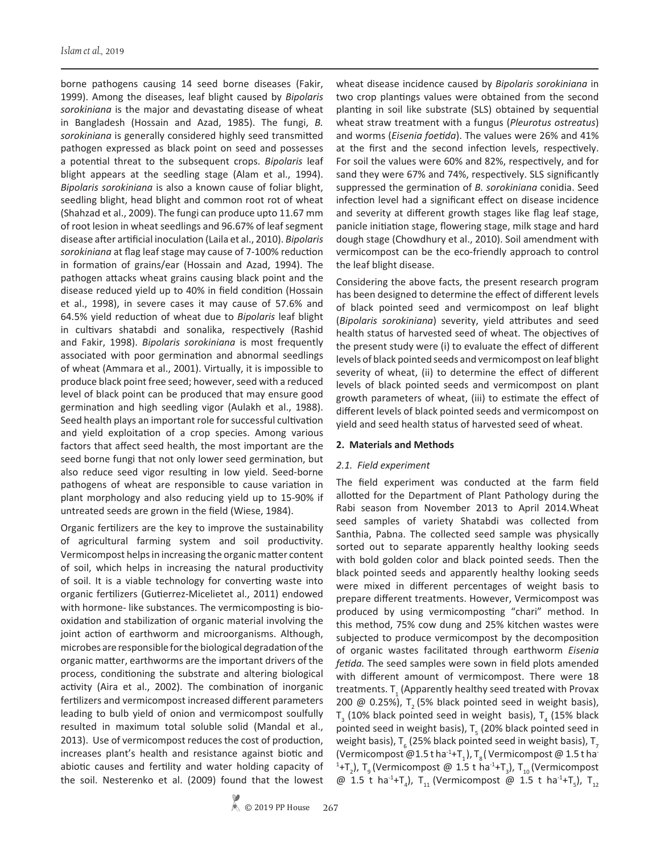borne pathogens causing 14 seed borne diseases (Fakir, 1999). Among the diseases, leaf blight caused by *Bipolaris sorokiniana* is the major and devastating disease of wheat in Bangladesh (Hossain and Azad, 1985). The fungi, *B. sorokiniana* is generally considered highly seed transmitted pathogen expressed as black point on seed and possesses a potential threat to the subsequent crops. *Bipolaris* leaf blight appears at the seedling stage (Alam et al., 1994). *Bipolaris sorokiniana* is also a known cause of foliar blight, seedling blight, head blight and common root rot of wheat (Shahzad et al., 2009). The fungi can produce upto 11.67 mm of root lesion in wheat seedlings and 96.67% of leaf segment disease after artificial inoculation (Laila et al., 2010). *Bipolaris sorokiniana* at flag leaf stage may cause of 7-100% reduction in formation of grains/ear (Hossain and Azad, 1994). The pathogen attacks wheat grains causing black point and the disease reduced yield up to 40% in field condition (Hossain et al., 1998), in severe cases it may cause of 57.6% and 64.5% yield reduction of wheat due to *Bipolaris* leaf blight in cultivars shatabdi and sonalika, respectively (Rashid and Fakir, 1998). *Bipolaris sorokiniana* is most frequently associated with poor germination and abnormal seedlings of wheat (Ammara et al., 2001). Virtually, it is impossible to produce black point free seed; however, seed with a reduced level of black point can be produced that may ensure good germination and high seedling vigor (Aulakh et al., 1988). Seed health plays an important role for successful cultivation and yield exploitation of a crop species. Among various factors that affect seed health, the most important are the seed borne fungi that not only lower seed germination, but also reduce seed vigor resulting in low yield. Seed-borne pathogens of wheat are responsible to cause variation in plant morphology and also reducing yield up to 15-90% if untreated seeds are grown in the field (Wiese, 1984).

Organic fertilizers are the key to improve the sustainability of agricultural farming system and soil productivity. Vermicompost helps in increasing the organic matter content of soil, which helps in increasing the natural productivity of soil. It is a viable technology for converting waste into organic fertilizers (Gutierrez-Micelietet al., 2011) endowed with hormone- like substances. The vermicomposting is biooxidation and stabilization of organic material involving the joint action of earthworm and microorganisms. Although, microbes are responsible for the biological degradation of the organic matter, earthworms are the important drivers of the process, conditioning the substrate and altering biological activity (Aira et al., 2002). The combination of inorganic fertilizers and vermicompost increased different parameters leading to bulb yield of onion and vermicompost soulfully resulted in maximum total soluble solid (Mandal et al., 2013). Use of vermicompost reduces the cost of production, increases plant's health and resistance against biotic and abiotic causes and fertility and water holding capacity of the soil. Nesterenko et al. (2009) found that the lowest

wheat disease incidence caused by *Bipolaris sorokiniana* in two crop plantings values were obtained from the second planting in soil like substrate (SLS) obtained by sequential wheat straw treatment with a fungus (*Pleurotus ostreatus*) and worms (*Eisenia foetida*). The values were 26% and 41% at the first and the second infection levels, respectively. For soil the values were 60% and 82%, respectively, and for sand they were 67% and 74%, respectively. SLS significantly suppressed the germination of *B. sorokiniana* conidia. Seed infection level had a significant effect on disease incidence and severity at different growth stages like flag leaf stage, panicle initiation stage, flowering stage, milk stage and hard dough stage (Chowdhury et al., 2010). Soil amendment with vermicompost can be the eco-friendly approach to control the leaf blight disease.

Considering the above facts, the present research program has been designed to determine the effect of different levels of black pointed seed and vermicompost on leaf blight (*Bipolaris sorokiniana*) severity, yield attributes and seed health status of harvested seed of wheat. The objectives of the present study were (i) to evaluate the effect of different levels of black pointed seeds and vermicompost on leaf blight severity of wheat, (ii) to determine the effect of different levels of black pointed seeds and vermicompost on plant growth parameters of wheat, (iii) to estimate the effect of different levels of black pointed seeds and vermicompost on yield and seed health status of harvested seed of wheat.

### **2. Materials and Methods**

### *2.1. Field experiment*

The field experiment was conducted at the farm field allotted for the Department of Plant Pathology during the Rabi season from November 2013 to April 2014.Wheat seed samples of variety Shatabdi was collected from Santhia, Pabna. The collected seed sample was physically sorted out to separate apparently healthy looking seeds with bold golden color and black pointed seeds. Then the black pointed seeds and apparently healthy looking seeds were mixed in different percentages of weight basis to prepare different treatments. However, Vermicompost was produced by using vermicomposting "chari" method. In this method, 75% cow dung and 25% kitchen wastes were subjected to produce vermicompost by the decomposition of organic wastes facilitated through earthworm *Eisenia fetida.* The seed samples were sown in field plots amended with different amount of vermicompost. There were 18 treatments.  ${\sf T}_\scriptscriptstyle 1$  (Apparently healthy seed treated with Provax 200  $\omega$  0.25%), T<sub>2</sub> (5% black pointed seed in weight basis),  $T_{3}$  (10% black pointed seed in weight basis),  $T_{4}$  (15% black pointed seed in weight basis),  $T_{5}$  (20% black pointed seed in weight basis), T<sub>6</sub> (25% black pointed seed in weight basis), T<sub>7</sub> (Vermicompost @1.5 t ha<sup>-1</sup>+T<sub>1</sub>), T<sub>8</sub> (Vermicompost @ 1.5 t ha-<sup>1</sup>+T<sub>2</sub>), T<sub>9</sub> (Vermicompost @ 1.5 t ha<sup>-1</sup>+T<sub>3</sub>), T<sub>10</sub> (Vermicompost @ 1.5 t ha<sup>-1</sup>+T<sub>4</sub>), T<sub>11</sub> (Vermicompost @ 1.5 t ha<sup>-1</sup>+T<sub>5</sub>), T<sub>12</sub>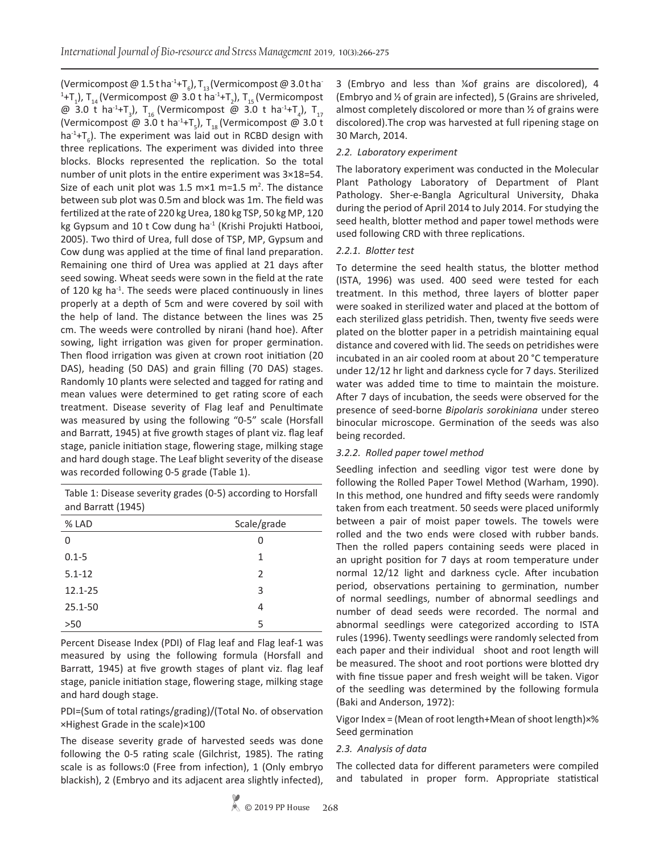(Vermicompost @ 1.5 t ha $^{\text{-}1}$ +T<sub>6</sub>), T<sub>13</sub> (Vermicompost @ 3.0 t ha $^{\text{-}}$ <sup>1</sup>+T<sub>1</sub>), T<sub>14</sub> (Vermicompost @ 3.0 t ha<sup>-1</sup>+T<sub>2</sub>), T<sub>15</sub> (Vermicompost @ 3.0 t ha<sup>-1</sup>+T<sub>3</sub>), T<sub>16</sub> (Vermicompost @ 3.0 t ha<sup>-1</sup>+T<sub>4</sub>), T<sub>17</sub> (Vermicompost @ 3.0 t ha<sup>-1</sup>+T<sub>5</sub>), T<sub>18</sub> (Vermicompost @ 3.0 t  $ha^{-1}+T_{6}$ ). The experiment was laid out in RCBD design with three replications. The experiment was divided into three blocks. Blocks represented the replication. So the total number of unit plots in the entire experiment was 3×18=54. Size of each unit plot was 1.5  $mx1 m=1.5 m<sup>2</sup>$ . The distance between sub plot was 0.5m and block was 1m. The field was fertilized at the rate of 220 kg Urea, 180 kg TSP, 50 kg MP, 120 kg Gypsum and 10 t Cow dung ha<sup>-1</sup> (Krishi Projukti Hatbooi, 2005). Two third of Urea, full dose of TSP, MP, Gypsum and Cow dung was applied at the time of final land preparation. Remaining one third of Urea was applied at 21 days after seed sowing. Wheat seeds were sown in the field at the rate of 120 kg ha<sup>-1</sup>. The seeds were placed continuously in lines properly at a depth of 5cm and were covered by soil with the help of land. The distance between the lines was 25 cm. The weeds were controlled by nirani (hand hoe). After sowing, light irrigation was given for proper germination. Then flood irrigation was given at crown root initiation (20 DAS), heading (50 DAS) and grain filling (70 DAS) stages. Randomly 10 plants were selected and tagged for rating and mean values were determined to get rating score of each treatment. Disease severity of Flag leaf and Penultimate was measured by using the following "0-5" scale (Horsfall and Barratt, 1945) at five growth stages of plant viz. flag leaf stage, panicle initiation stage, flowering stage, milking stage and hard dough stage. The Leaf blight severity of the disease was recorded following 0-5 grade (Table 1).

Table 1: Disease severity grades (0-5) according to Horsfall and Barratt (1945)

| .           |             |
|-------------|-------------|
| % LAD       | Scale/grade |
| 0           | 0           |
| $0.1 - 5$   | 1           |
| $5.1 - 12$  | 2           |
| $12.1 - 25$ | 3           |
| 25.1-50     | 4           |
| $>50$       | 5           |

Percent Disease Index (PDI) of Flag leaf and Flag leaf-1 was measured by using the following formula (Horsfall and Barratt, 1945) at five growth stages of plant viz. flag leaf stage, panicle initiation stage, flowering stage, milking stage and hard dough stage.

PDI=(Sum of total ratings/grading)/(Total No. of observation ×Highest Grade in the scale)×100

The disease severity grade of harvested seeds was done following the 0-5 rating scale (Gilchrist, 1985). The rating scale is as follows:0 (Free from infection), 1 (Only embryo blackish), 2 (Embryo and its adjacent area slightly infected), 3 (Embryo and less than ¼of grains are discolored), 4 (Embryo and ½ of grain are infected), 5 (Grains are shriveled, almost completely discolored or more than ½ of grains were discolored).The crop was harvested at full ripening stage on 30 March, 2014.

## *2.2. Laboratory experiment*

The laboratory experiment was conducted in the Molecular Plant Pathology Laboratory of Department of Plant Pathology. Sher-e-Bangla Agricultural University, Dhaka during the period of April 2014 to July 2014. For studying the seed health, blotter method and paper towel methods were used following CRD with three replications.

## *2.2.1. Blotter test*

To determine the seed health status, the blotter method (ISTA, 1996) was used. 400 seed were tested for each treatment. In this method, three layers of blotter paper were soaked in sterilized water and placed at the bottom of each sterilized glass petridish. Then, twenty five seeds were plated on the blotter paper in a petridish maintaining equal distance and covered with lid. The seeds on petridishes were incubated in an air cooled room at about 20 °C temperature under 12/12 hr light and darkness cycle for 7 days. Sterilized water was added time to time to maintain the moisture. After 7 days of incubation, the seeds were observed for the presence of seed-borne *Bipolaris sorokiniana* under stereo binocular microscope. Germination of the seeds was also being recorded.

### *3.2.2. Rolled paper towel method*

Seedling infection and seedling vigor test were done by following the Rolled Paper Towel Method (Warham, 1990). In this method, one hundred and fifty seeds were randomly taken from each treatment. 50 seeds were placed uniformly between a pair of moist paper towels. The towels were rolled and the two ends were closed with rubber bands. Then the rolled papers containing seeds were placed in an upright position for 7 days at room temperature under normal 12/12 light and darkness cycle. After incubation period, observations pertaining to germination, number of normal seedlings, number of abnormal seedlings and number of dead seeds were recorded. The normal and abnormal seedlings were categorized according to ISTA rules (1996). Twenty seedlings were randomly selected from each paper and their individual shoot and root length will be measured. The shoot and root portions were blotted dry with fine tissue paper and fresh weight will be taken. Vigor of the seedling was determined by the following formula (Baki and Anderson, 1972):

Vigor Index = (Mean of root length+Mean of shoot length)×% Seed germination

## *2.3. Analysis of data*

The collected data for different parameters were compiled and tabulated in proper form. Appropriate statistical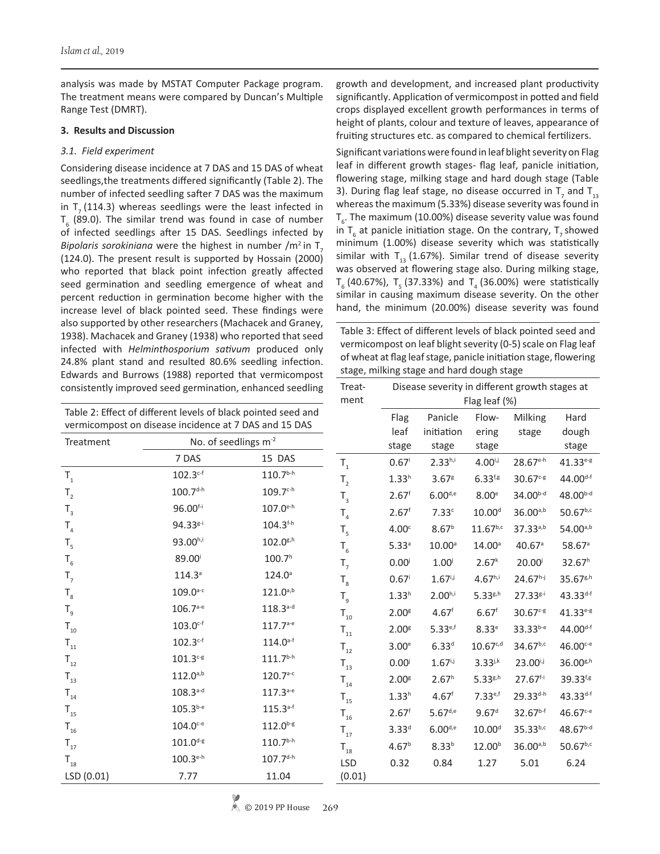analysis was made by MSTAT Computer Package program. The treatment means were compared by Duncan's Multiple Range Test (DMRT).

#### **3. Results and Discussion**

#### *3.1. Field experiment*

Considering disease incidence at 7 DAS and 15 DAS of wheat seedlings,the treatments differed significantly (Table 2). The number of infected seedling safter 7 DAS was the maximum in  $T<sub>7</sub>$  (114.3) whereas seedlings were the least infected in  $T_{6}$  (89.0). The similar trend was found in case of number of infected seedlings after 15 DAS. Seedlings infected by *Bipolaris sorokiniana* were the highest in number /m<sup>2</sup> in T<sub>7</sub> (124.0). The present result is supported by Hossain (2000) who reported that black point infection greatly affected seed germination and seedling emergence of wheat and percent reduction in germination become higher with the increase level of black pointed seed. These findings were also supported by other researchers (Machacek and Graney, 1938). Machacek and Graney (1938) who reported that seed infected with *Helminthosporium sativum* produced only 24.8% plant stand and resulted 80.6% seedling infection. Edwards and Burrows (1988) reported that vermicompost consistently improved seed germination, enhanced seedling

growth and development, and increased plant productivity significantly. Application of vermicompost in potted and field crops displayed excellent growth performances in terms of height of plants, colour and texture of leaves, appearance of fruiting structures etc. as compared to chemical fertilizers.

Significant variations were found in leaf blight severity on Flag leaf in different growth stages- flag leaf, panicle initiation, flowering stage, milking stage and hard dough stage (Table 3). During flag leaf stage, no disease occurred in  $\mathsf{T}_{7}$  and  $\mathsf{T}_{_{13}}$ whereas the maximum (5.33%) disease severity was found in  $T_{\rm g}$ . The maximum (10.00%) disease severity value was found in  $T_{6}$  at panicle initiation stage. On the contrary,  $T_{7}$  showed minimum (1.00%) disease severity which was statistically similar with  $T_{13}$  (1.67%). Similar trend of disease severity was observed at flowering stage also. During milking stage,  $T_{6}$  (40.67%),  $T_{5}$  (37.33%) and  $T_{4}$  (36.00%) were statistically similar in causing maximum disease severity. On the other hand, the minimum (20.00%) disease severity was found

Table 3: Effect of different levels of black pointed seed and vermicompost on leaf blight severity (0-5) scale on Flag leaf of wheat at flag leaf stage, panicle initiation stage, flowering stage, milking stage and hard dough stage

|                            | consistently improved seed germination, enhanced seedling     |                      | Treat-                     |                     | Disease severity in different growth stages at |                     |                      |                      |
|----------------------------|---------------------------------------------------------------|----------------------|----------------------------|---------------------|------------------------------------------------|---------------------|----------------------|----------------------|
|                            |                                                               |                      | ment<br>Flag leaf (%)      |                     |                                                |                     |                      |                      |
|                            | Table 2: Effect of different levels of black pointed seed and |                      |                            | Flag                | Panicle                                        | Flow-               | Milking              | Hard                 |
|                            | vermicompost on disease incidence at 7 DAS and 15 DAS         |                      |                            | leaf                | initiation                                     | ering               | stage                | dough                |
| Treatment                  | No. of seedlings m <sup>-2</sup>                              |                      |                            | stage               | stage                                          | stage               |                      | stage                |
|                            | 7 DAS                                                         | 15 DAS               | $\mathsf{T}_\mathsf{1}$    | $0.67$ <sup>i</sup> | $2.33^{h,i}$                                   | $4.00^{i,j}$        | 28.67e-h             | $41.33^{e-g}$        |
| $\mathsf{T}_\mathsf{1}$    | $102.3^{\text{c-f}}$                                          | $110.7^{b-h}$        | $\mathsf{T}_{\mathsf{2}}$  | 1.33 <sup>h</sup>   | $3.67$ <sup>g</sup>                            | $6.33^{f,g}$        | $30.67c - g$         | 44.00 <sup>d-f</sup> |
| $T_{2}$                    | $100.7^{d-h}$                                                 | $109.7c$ -h          | $T_{3}$                    | 2.67 <sup>f</sup>   | $6.00^{d,e}$                                   | 8.00 <sup>e</sup>   | 34.00 <sup>b-d</sup> | $48.00^{b-d}$        |
| $T_{3}$                    | 96.00f-i                                                      | $107.0^{\text{e-h}}$ | $T_{4}$                    | 2.67 <sup>f</sup>   | 7.33c                                          | 10.00 <sup>d</sup>  | $36.00^{a,b}$        | $50.67^{b,c}$        |
| $T_{4}$                    | $94.33^{g-i}$                                                 | $104.3^{f-h}$        | $T_{\rm 5}$                | 4.00 <sup>c</sup>   | 8.67 <sup>b</sup>                              | $11.67^{b,c}$       | 37.33a,b             | $54.00^{a,b}$        |
| $T_{\rm 5}$                | 93.00h,i                                                      | $102.0^{g,h}$        | $T_{6}$                    | 5.33a               | 10.00 <sup>a</sup>                             | $14.00^a$           | $40.67$ <sup>a</sup> | $58.67$ <sup>a</sup> |
| $T_{6}$                    | 89.00                                                         | 100.7 <sup>h</sup>   | $T_{7}$                    | $0.00^{j}$          | 1.00 <sup>j</sup>                              | 2.67 <sup>k</sup>   | $20.00^{j}$          | 32.67 <sup>h</sup>   |
| $T_{7}$                    | $114.3^a$                                                     | $124.0^{\circ}$      | $T_{\rm g}$                | $0.67$ <sup>i</sup> | $1.67^{i,j}$                                   | $4.67^{h,i}$        | $24.67^{h-j}$        | $35.67^{g,h}$        |
| $T_{\rm g}$                | $109.0^{a-c}$                                                 | $121.0^{a,b}$        | $T_{9}$                    | 1.33 <sup>h</sup>   | $2.00^{h,i}$                                   | $5.33^{g,h}$        | $27.33^{g-i}$        | 43.33 <sup>d-f</sup> |
| $T_{9}$                    | $106.7^{\text{a-e}}$                                          | $118.3^{a-d}$        | $\mathsf{T}_{\mathsf{10}}$ | 2.00 <sup>g</sup>   | 4.67 <sup>f</sup>                              | $6.67$ <sup>f</sup> | $30.67c - g$         | $41.33^{e-g}$        |
| ${\sf T}_{_{\sf 10}}$      | $103.0^{c-f}$                                                 | $117.7a-e$           | $\mathsf{T}_{\mathsf{11}}$ | 2.00 <sup>g</sup>   | $5.33^{e,f}$                                   | 8.33e               | 33.33b-e             | $44.00^{d-f}$        |
| ${\sf T}_{_{11}}$          | $102.3c-f$                                                    | $114.0^{a-f}$        | $T_{12}$                   | 3.00 <sup>e</sup>   | 6.33 <sup>d</sup>                              | $10.67^{c,d}$       | 34.67b,c             | 46.00 <sup>c-e</sup> |
| $T_{12}$                   | $101.3c-g$                                                    | $111.7^{b-h}$        | $T_{13}$                   | $0.00^{j}$          | $1.67^{i,j}$                                   | $3.33^{j,k}$        | $23.00^{i,j}$        | $36.00^{g,h}$        |
| $T_{13}$                   | $112.0^{a,b}$                                                 | $120.7^{a-c}$        | $T_{14}$                   | 2.00 <sup>g</sup>   | 2.67 <sup>h</sup>                              | $5.33^{g,h}$        | $27.67^{f-i}$        | $39.33^{f,g}$        |
| ${\sf T}_{_{14}}$          | $108.3^{a-d}$                                                 | $117.3a-e}$          | $T_{15}$                   | 1.33 <sup>h</sup>   | 4.67 <sup>f</sup>                              | $7.33^{e,f}$        | $29.33^{d-h}$        | 43.33 <sup>d-f</sup> |
| $T_{15}$                   | $105.3^{b-e}$                                                 | $115.3^{a-f}$        | ${\sf T}_{_{16}}$          | 2.67 <sup>f</sup>   | $5.67^{d,e}$                                   | 9.67 <sup>d</sup>   | $32.67^{b-f}$        | 46.67 <sup>c-e</sup> |
| $\mathsf{T}_{\mathsf{16}}$ | $104.0^{c-e}$                                                 | $112.0^{b-g}$        | $T_{17}$                   | $3.33^{d}$          | $6.00^{d,e}$                                   | 10.00 <sup>d</sup>  | 35.33b,c             | $48.67^{b-d}$        |
| $T_{17}$                   | $101.0^{d-g}$                                                 | $110.7^{b-h}$        | $T_{18}$                   | 4.67 <sup>b</sup>   | $8.33^{b}$                                     | $12.00^{b}$         | $36.00^{a,b}$        | $50.67^{b,c}$        |
| $T_{18}$                   | $100.3^{\text{e-h}}$                                          | $107.7^{d-h}$        | <b>LSD</b>                 | 0.32                | 0.84                                           | 1.27                | 5.01                 | 6.24                 |
| LSD (0.01)                 | 7.77                                                          | 11.04                | (0.01)                     |                     |                                                |                     |                      |                      |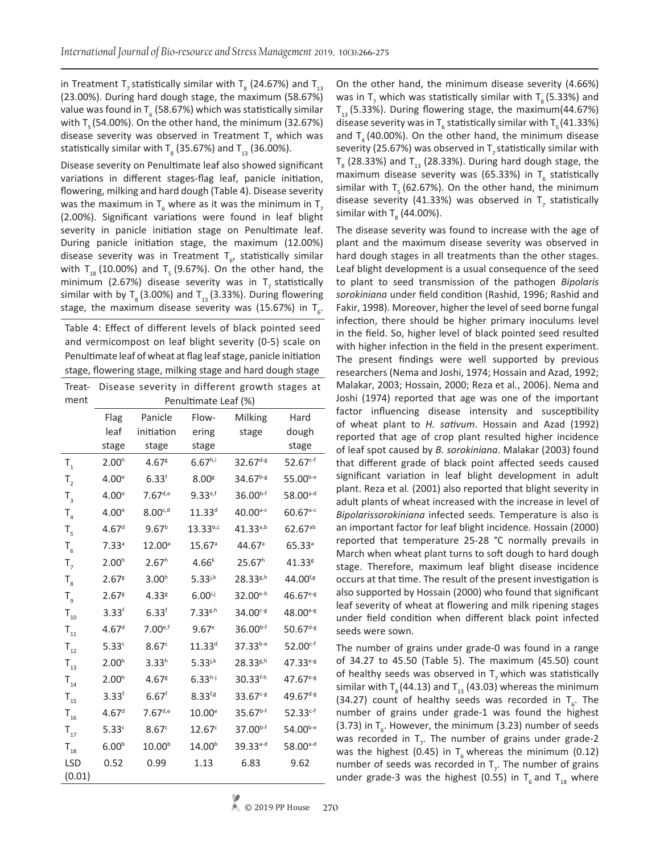in Treatment T<sub>7</sub> statistically similar with T<sub>8</sub> (24.67%) and T<sub>13</sub> (23.00%). During hard dough stage, the maximum (58.67%) value was found in  $T_c$  (58.67%) which was statistically similar with  $T<sub>5</sub>$  (54.00%). On the other hand, the minimum (32.67%) disease severity was observed in Treatment  $T_{7}$  which was statistically similar with T $_{\rm s}$  (35.67%) and T $_{\rm 13}$  (36.00%).

Disease severity on Penultimate leaf also showed significant variations in different stages-flag leaf, panicle initiation, flowering, milking and hard dough (Table 4). Disease severity was the maximum in  $T_{\epsilon}$  where as it was the minimum in  $T_{7}$ (2.00%). Significant variations were found in leaf blight severity in panicle initiation stage on Penultimate leaf. During panicle initiation stage, the maximum (12.00%) disease severity was in Treatment  $T_{6}$ , statistically similar with  $T_{18}$  (10.00%) and  $T_5$  (9.67%). On the other hand, the minimum (2.67%) disease severity was in  $T<sub>7</sub>$  statistically similar with by  $T_8$  (3.00%) and  $T_{13}$  (3.33%). During flowering stage, the maximum disease severity was (15.67%) in  $T_{\rm g}$ .

Table 4: Effect of different levels of black pointed seed and vermicompost on leaf blight severity (0-5) scale on Penultimate leaf of wheat at flag leaf stage, panicle initiation stage, flowering stage, milking stage and hard dough stage

| Treat-               |                      |                     |                     | Disease severity in different growth stages at |                        |  |
|----------------------|----------------------|---------------------|---------------------|------------------------------------------------|------------------------|--|
| ment                 | Penultimate Leaf (%) |                     |                     |                                                |                        |  |
|                      | Flag                 | Panicle             | Flow-               | Milking                                        | Hard                   |  |
|                      | leaf                 | initiation          | ering               | stage                                          | dough                  |  |
|                      | stage                | stage               | stage               |                                                | stage                  |  |
| $T_{1}$              | 2.00 <sup>h</sup>    | 4.67 <sup>g</sup>   | 6.67 <sup>h,i</sup> | $32.67^{d-g}$                                  | 52.67c-f               |  |
| $T_{2}$              | 4.00 <sup>e</sup>    | $6.33^{f}$          | 8.00 <sup>g</sup>   | $34.67^{b-g}$                                  | $55.00^{b-e}$          |  |
| $\mathsf{T}_{_3}$    | 4.00 <sup>e</sup>    | $7.67^{d,e}$        | $9.33^{e,f}$        | $36.00^{b-f}$                                  | $58.00^{\text{a-d}}$   |  |
| $\mathsf{T}_4$       | 4.00 <sup>e</sup>    | $8.00^{c,d}$        | $11.33^{d}$         | $40.00^{a-c}$                                  | $60.67$ <sup>a-c</sup> |  |
| $T_{\rm 5}$          | 4.67 <sup>d</sup>    | 9.67 <sup>b</sup>   | $13.33^{b,c}$       | $41.33^{a,b}$                                  | 62.67ab                |  |
| $T_{6}$              | 7.33a                | $12.00^{\circ}$     | $15.67^{\circ}$     | 44.67a                                         | 65.33a                 |  |
| $T_{7}$              | 2.00 <sup>h</sup>    | 2.67 <sup>h</sup>   | $4.66^{k}$          | 25.67 <sup>h</sup>                             | 41.33 <sup>g</sup>     |  |
| $T_{\rm g}$          | 2.67 <sup>g</sup>    | 3.00 <sup>h</sup>   | $5.33^{j,k}$        | $28.33^{g,h}$                                  | $44.00^{f,g}$          |  |
| $\mathsf{T}_{9}$     | 2.67 <sup>g</sup>    | 4.33 <sup>g</sup>   | $6.00^{i,j}$        | $32.00^{e-h}$                                  | $46.67e-g$             |  |
| $T_{10}$             | 3.33 <sup>f</sup>    | 6.33 <sup>f</sup>   | $7.33^{g,h}$        | $34.00c-g$                                     | $48.00^{e-g}$          |  |
| ${\sf T}_{_{11}}$    | 4.67 <sup>d</sup>    | $7.00^{e,f}$        | 9.67 <sup>e</sup>   | 36.00b-f                                       | $50.67^{d-g}$          |  |
| $\mathsf{T}_{_{12}}$ | 5.33c                | 8.67c               | $11.33^d$           | $37.33^{b-e}$                                  | $52.00^{c-f}$          |  |
| $\mathsf{T}_{_{13}}$ | 2.00 <sup>h</sup>    | 3.33 <sup>h</sup>   | $5.33^{j,k}$        | $28.33^{g,h}$                                  | $47.33^{e-g}$          |  |
| $T_{14}$             | 2.00 <sup>h</sup>    | 4.67 <sup>g</sup>   | $6.33^{h-j}$        | $30.33^{f-h}$                                  | $47.67^{e-g}$          |  |
| $T_{15}$             | 3.33 <sup>f</sup>    | $6.67$ <sup>f</sup> | $8.33^{f,g}$        | 33.67 <sup>c-g</sup>                           | 49.67 <sup>d-g</sup>   |  |
| $T_{16}$             | 4.67 <sup>d</sup>    | $7.67^{d,e}$        | $10.00^\circ$       | 35.67b-f                                       | 52.33c-f               |  |
| $T_{17}$             | 5.33c                | 8.67c               | 12.67c              | $37.00^{b-f}$                                  | $54.00^{b-e}$          |  |
| $T_{18}$             | 6.00 <sup>b</sup>    | $10.00^{b}$         | 14.00 <sup>b</sup>  | 39.33 <sup>a-d</sup>                           | $58.00^{\text{a-d}}$   |  |
| <b>LSD</b>           | 0.52                 | 0.99                | 1.13                | 6.83                                           | 9.62                   |  |
| (0.01)               |                      |                     |                     |                                                |                        |  |

On the other hand, the minimum disease severity (4.66%) was in T<sub>7</sub> which was statistically similar with T<sub>8</sub> (5.33%) and  $T_{13}$  (5.33%). During flowering stage, the maximum (44.67%) disease severity was in T<sub>6</sub> statistically similar with T<sub>5</sub> (41.33%) and  $T<sub>4</sub>$  (40.00%). On the other hand, the minimum disease severity (25.67%) was observed in T<sub>r</sub> statistically similar with  $T_{\rm g}$  (28.33%) and  $T_{\rm 13}$  (28.33%). During hard dough stage, the maximum disease severity was (65.33%) in  $T_{6}$  statistically similar with  $T_c$  (62.67%). On the other hand, the minimum disease severity (41.33%) was observed in  $T_{7}$  statistically similar with  $T_{\text{g}}$  (44.00%).

The disease severity was found to increase with the age of plant and the maximum disease severity was observed in hard dough stages in all treatments than the other stages. Leaf blight development is a usual consequence of the seed to plant to seed transmission of the pathogen *Bipolaris sorokiniana* under field condition (Rashid, 1996; Rashid and Fakir, 1998). Moreover, higher the level of seed borne fungal infection, there should be higher primary inoculums level in the field. So, higher level of black pointed seed resulted with higher infection in the field in the present experiment. The present findings were well supported by previous researchers (Nema and Joshi, 1974; Hossain and Azad, 1992; Malakar, 2003; Hossain, 2000; Reza et al*.*, 2006). Nema and Joshi (1974) reported that age was one of the important factor influencing disease intensity and susceptibility of wheat plant to *H. sativum*. Hossain and Azad (1992) reported that age of crop plant resulted higher incidence of leaf spot caused by *B. sorokiniana*. Malakar (2003) found that different grade of black point affected seeds caused significant variation in leaf blight development in adult plant. Reza et al*.* (2001) also reported that blight severity in adult plants of wheat increased with the increase in level of *Bipolarissorokiniana* infected seeds. Temperature is also is an important factor for leaf blight incidence. Hossain (2000) reported that temperature 25-28 °C normally prevails in March when wheat plant turns to soft dough to hard dough stage. Therefore, maximum leaf blight disease incidence occurs at that time. The result of the present investigation is also supported by Hossain (2000) who found that significant leaf severity of wheat at flowering and milk ripening stages under field condition when different black point infected seeds were sown.

The number of grains under grade-0 was found in a range of 34.27 to 45.50 (Table 5). The maximum (45.50) count of healthy seeds was observed in  $T<sub>z</sub>$  which was statistically similar with T<sub>8</sub> (44.13) and T<sub>13</sub> (43.03) whereas the minimum (34.27) count of healthy seeds was recorded in  $T_{6}$ . The number of grains under grade-1 was found the highest (3.73) in  $T_{6}$ . However, the minimum (3.23) number of seeds was recorded in  $T_{7}$ . The number of grains under grade-2 was the highest (0.45) in T<sub>6</sub> whereas the minimum (0.12) number of seeds was recorded in  $T_{7}$ . The number of grains under grade-3 was the highest (0.55) in T<sub>6</sub> and T<sub>18</sub> where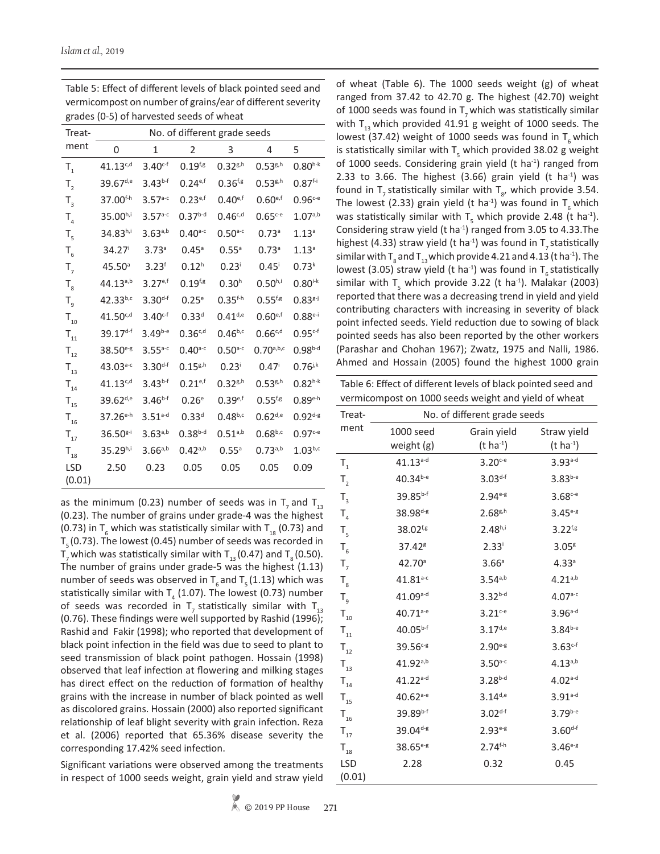| $\sqrt{2}$ $\sqrt{2}$ $\sqrt{2}$ |                              |                       |                   |                     |                                     |                   |
|----------------------------------|------------------------------|-----------------------|-------------------|---------------------|-------------------------------------|-------------------|
| Treat-                           | No. of different grade seeds |                       |                   |                     |                                     |                   |
| ment                             | 0                            | 1                     | 2                 | 3                   | 4                                   | 5                 |
| $T_{1}$                          | $41.13^{c,d}$                | $3.40^{c-f}$          | $0.19^{f,g}$      | $0.32^{g,h}$        | $0.53^{g,h}$                        | $0.80^{h-k}$      |
| $T_{2}$                          | $39.67^{d,e}$                | $3.43^{b-f}$          | $0.24^{e,f}$      | $0.36^{f,g}$        | $0.53^{g,h}$                        | $0.87f-i$         |
| $T_{\frac{1}{3}}$                | $37.00^{f-h}$                | $3.57^{a.c}$          | $0.23^{e,f}$      | $0.40^{e,f}$        | $0.60^{e,f}$                        | $0.96c-e$         |
| $\mathsf{T}_4$                   | $35.00^{h,i}$                | $3.57^{a-c}$          | $0.37^{b-d}$      | $0.46c,d}$          | $0.65c-e$                           | $1.07^{a,b}$      |
| т,                               | $34.83^{h,i}$                | $3.63^{a,b}$          | $0.40^{a-c}$      | $0.50^{a.c}$        | 0.73a                               | $1.13^{a}$        |
| Τ.                               | 34.27 <sup>i</sup>           | 3.73a                 | $0.45^{\circ}$    | $0.55^{\circ}$      | 0.73a                               | 1.13 <sup>a</sup> |
| Τ,                               | 45.50 <sup>a</sup>           | 3.23 <sup>f</sup>     | 0.12 <sup>h</sup> | $0.23^{\rm i}$      | $0.45^{\dagger}$                    | $0.73^{k}$        |
| $\mathsf{T}_{_8}$                | $44.13^{a,b}$                | $3.27^{e,f}$          | $0.19^{f,g}$      | 0.30 <sup>h</sup>   | $0.50^{h,i}$                        | $0.80^{i-k}$      |
| Τ,                               | $42.33^{b,c}$                | $3.30^{d-f}$          | 0.25 <sup>e</sup> | $0.35^{\text{f-h}}$ | $0.55^{f,g}$                        | $0.83g^{5}$       |
| $T_{10}$                         | $41.50^{c,d}$                | $3.40c-f$             | $0.33^{d}$        | $0.41^{d,e}$        | $0.60^{e,f}$                        | $0.88e^{-i}$      |
| ${\sf T}_{_{11}}$                | 39.17 <sup>d-f</sup>         | $3.49^{b-e}$          | $0.36c,d}$        | $0.46^{b,c}$        | 0.66c,d                             | $0.95c-f$         |
| $\mathsf{T}_{_{12}}$             | $38.50^{e-g}$                | $3.55^{a.c}$          | $0.40^{a.c}$      | $0.50^{a.c}$        | $0.70^{\text{a},\text{b},\text{c}}$ | $0.98^{b-d}$      |
| $T_{13}$                         | 43.03 <sup>a-c</sup>         | $3.30^{d-f}$          | $0.15^{g,h}$      | $0.23^{\rm i}$      | $0.47^{\rm i}$                      | $0.76^{j,k}$      |
| ${\sf T}_{_{14}}$                | $41.13^{c,d}$                | $3.43^{b-f}$          | $0.21^{e,f}$      | $0.32^{g,h}$        | $0.53^{g,h}$                        | $0.82^{h-k}$      |
| ${\sf T}_{_{15}}$                | $39.62^{d,e}$                | $3.46^{b-f}$          | 0.26 <sup>e</sup> | $0.39^{e,f}$        | $0.55^{f,g}$                        | $0.89e^{-h}$      |
| ${\sf T}_{\sf 16}$               | 37.26 <sup>e-h</sup>         | $3.51$ <sup>a-d</sup> | $0.33^{d}$        | $0.48^{b,c}$        | $0.62^{d,e}$                        | $0.92^{d-g}$      |
| ${\sf T}_{_{17}}$                | $36.50^{g-i}$                | $3.63^{a,b}$          | $0.38^{b-d}$      | $0.51^{a,b}$        | $0.68^{b,c}$                        | $0.97c-e$         |
| $T_{18}$                         | $35.29^{h,i}$                | $3.66^{a,b}$          | $0.42^{a,b}$      | $0.55^{\circ}$      | $0.73^{a,b}$                        | $1.03^{b,c}$      |
| LSD                              | 2.50                         | 0.23                  | 0.05              | 0.05                | 0.05                                | 0.09              |
| (0.01)                           |                              |                       |                   |                     |                                     |                   |

Table 5: Effect of different levels of black pointed seed and vermicompost on number of grains/ear of different severity grades (0-5) of harvested seeds of wheat

as the minimum (0.23) number of seeds was in  $T_1$  and  $T_{13}$ (0.23). The number of grains under grade-4 was the highest (0.73) in T<sub>6</sub> which was statistically similar with T<sub>18</sub> (0.73) and  $T<sub>5</sub>$  (0.73). The lowest (0.45) number of seeds was recorded in  $T_7$  which was statistically similar with  $T_{13}$  (0.47) and  $T_8$  (0.50). The number of grains under grade-5 was the highest (1.13) number of seeds was observed in  $T<sub>6</sub>$  and  $T<sub>5</sub> (1.13)$  which was statistically similar with  $T_4$  (1.07). The lowest (0.73) number of seeds was recorded in  $T<sub>2</sub>$  statistically similar with  $T<sub>33</sub>$ (0.76). These findings were well supported by Rashid (1996); Rashid and Fakir (1998); who reported that development of black point infection in the field was due to seed to plant to seed transmission of black point pathogen. Hossain (1998) observed that leaf infection at flowering and milking stages has direct effect on the reduction of formation of healthy grains with the increase in number of black pointed as well as discolored grains. Hossain (2000) also reported significant relationship of leaf blight severity with grain infection. Reza et al. (2006) reported that 65.36% disease severity the corresponding 17.42% seed infection.

Significant variations were observed among the treatments in respect of 1000 seeds weight, grain yield and straw yield of wheat (Table 6). The 1000 seeds weight (g) of wheat ranged from 37.42 to 42.70 g. The highest (42.70) weight of 1000 seeds was found in  $T<sub>7</sub>$  which was statistically similar with  $T_{13}$  which provided 41.91 g weight of 1000 seeds. The lowest (37.42) weight of 1000 seeds was found in  $T<sub>6</sub>$  which is statistically similar with  $T_{5}$  which provided 38.02 g weight of 1000 seeds. Considering grain yield (t ha<sup>-1</sup>) ranged from 2.33 to 3.66. The highest  $(3.66)$  grain yield  $(t \text{ ha}^{-1})$  was found in T<sub>7</sub> statistically similar with T<sub>8</sub>, which provide 3.54. The lowest (2.33) grain yield (t ha<sup>-1</sup>) was found in T<sub>e</sub> which was statistically similar with  $T_{\rm s}$  which provide 2.48 (t ha<sup>-1</sup>). Considering straw yield (t ha $^{-1}$ ) ranged from 3.05 to 4.33. The highest (4.33) straw yield (t ha<sup>-1</sup>) was found in  $T<sub>7</sub>$  statistically similar with T $_{\rm s}$  and T $_{\rm 13}$ which provide 4.21 and 4.13 (t ha $^{\rm -1}$ ). The lowest (3.05) straw yield (t ha<sup>-1</sup>) was found in  $T<sub>6</sub>$  statistically similar with  $T_{5}$  which provide 3.22 (t ha<sup>-1</sup>). Malakar (2003) reported that there was a decreasing trend in yield and yield contributing characters with increasing in severity of black point infected seeds. Yield reduction due to sowing of black pointed seeds has also been reported by the other workers (Parashar and Chohan 1967); Zwatz, 1975 and Nalli, 1986. Ahmed and Hossain (2005) found the highest 1000 grain

Table 6: Effect of different levels of black pointed seed and vermicompost on 1000 seeds weight and yield of wheat

| Treat-               | No. of different grade seeds |                  |                       |  |  |  |
|----------------------|------------------------------|------------------|-----------------------|--|--|--|
| ment                 | 1000 seed                    | Grain yield      | Straw yield           |  |  |  |
|                      | weight (g)                   | $(t \, ha^{-1})$ | $(t \; ha^{-1})$      |  |  |  |
| $T_{1}$              | $41.13$ <sup>a-d</sup>       | $3.20c-e$        | $3.93^{a-d}$          |  |  |  |
| $T_{2}$              | $40.34^{b-e}$                | $3.03^{d-f}$     | $3.83^{b-e}$          |  |  |  |
| $T_{\frac{1}{3}}$    | 39.85b-f                     | $2.94e-g$        | $3.68c-e$             |  |  |  |
| $\mathsf{T}_4$       | $38.98^{d-g}$                | $2.68^{g,h}$     | $3.45^{e-g}$          |  |  |  |
| Τ,                   | $38.02^{f,g}$                | $2.48^{h,i}$     | $3.22^{f,g}$          |  |  |  |
| T <sub>6</sub>       | 37.42 <sup>g</sup>           | $2.33^{i}$       | 3.05 <sup>g</sup>     |  |  |  |
| т,                   | 42.70 <sup>a</sup>           | 3.66a            | 4.33 <sup>a</sup>     |  |  |  |
| $\mathsf{T}_{_8}$    | $41.81^{a-c}$                | $3.54^{a,b}$     | $4.21^{a,b}$          |  |  |  |
| Τ,                   | 41.09a-d                     | $3.32b-d$        | $4.07^{a.c}$          |  |  |  |
| $T_{10}$             | $40.71^{a-e}$                | $3.21^{c-e}$     | $3.96$ <sub>a-d</sub> |  |  |  |
| $\mathsf{T}_{_{11}}$ | $40.05^{b-f}$                | $3.17^{d,e}$     | $3.84^{b-e}$          |  |  |  |
| $T_{12}$             | 39.56 <sup>c-g</sup>         | $2.90^{e-g}$     | $3.63c-f$             |  |  |  |
| $T_{13}$             | $41.92^{a,b}$                | $3.50^{a-c}$     | $4.13^{a,b}$          |  |  |  |
| $\mathsf{T}_{_{14}}$ | $41.22^{a-d}$                | $3.28^{b-d}$     | $4.02^{a-d}$          |  |  |  |
| $T_{15}$             | $40.62^{a-e}$                | $3.14^{d,e}$     | $3.91a-d$             |  |  |  |
| $T_{16}$             | 39.89b-f                     | $3.02^{d-f}$     | $3.79^{b-e}$          |  |  |  |
| $T_{17}$             | $39.04^{d-g}$                | $2.93^{e-g}$     | $3.60^{d-f}$          |  |  |  |
| $T_{18}$             | 38.65 <sup>e-g</sup>         | $2.74^{f-h}$     | $3.46e-g$             |  |  |  |
| LSD                  | 2.28                         | 0.32             | 0.45                  |  |  |  |
| (0.01)               |                              |                  |                       |  |  |  |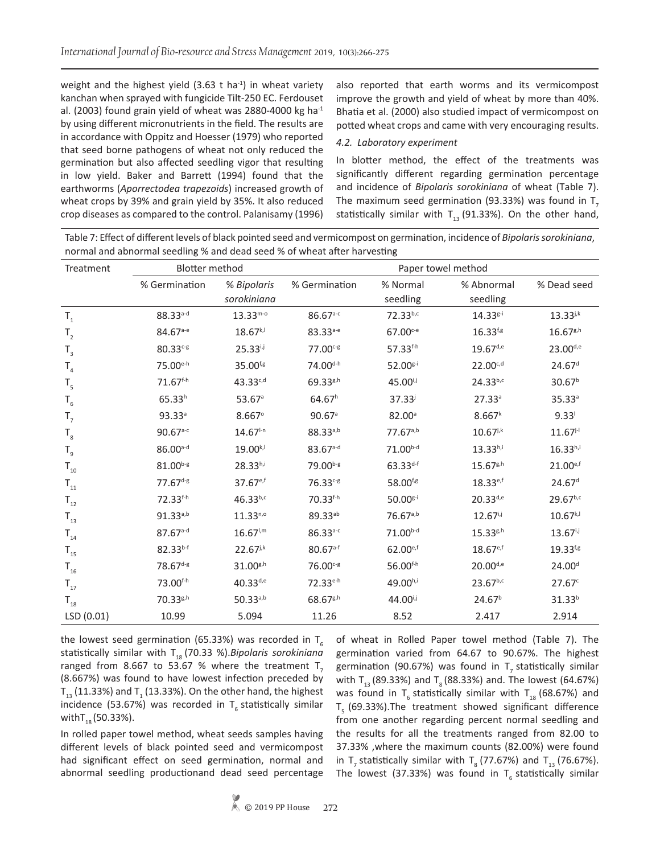weight and the highest yield  $(3.63 \text{ t} \text{ ha}^{-1})$  in wheat variety kanchan when sprayed with fungicide Tilt-250 EC. Ferdouset al. (2003) found grain yield of wheat was 2880-4000 kg ha<sup>-1</sup> by using different micronutrients in the field. The results are in accordance with Oppitz and Hoesser (1979) who reported that seed borne pathogens of wheat not only reduced the germination but also affected seedling vigor that resulting in low yield. Baker and Barrett (1994) found that the earthworms (*Aporrectodea trapezoids*) increased growth of wheat crops by 39% and grain yield by 35%. It also reduced crop diseases as compared to the control. Palanisamy (1996) also reported that earth worms and its vermicompost improve the growth and yield of wheat by more than 40%. Bhatia et al. (2000) also studied impact of vermicompost on potted wheat crops and came with very encouraging results.

#### *4.2. Laboratory experiment*

In blotter method, the effect of the treatments was significantly different regarding germination percentage and incidence of *Bipolaris sorokiniana* of wheat (Table 7). The maximum seed germination (93.33%) was found in  $T<sub>z</sub>$ statistically similar with  $T_{13}$  (91.33%). On the other hand,

Table 7: Effect of different levels of black pointed seed and vermicompost on germination, incidence of *Bipolaris sorokiniana*, normal and abnormal seedling % and dead seed % of wheat after harvesting

| Treatment             | <b>Blotter method</b>  |                      | Paper towel method     |                      |                        |                    |
|-----------------------|------------------------|----------------------|------------------------|----------------------|------------------------|--------------------|
|                       | % Germination          | % Bipolaris          | % Germination          | % Normal             | % Abnormal             | % Dead seed        |
|                       |                        | sorokiniana          |                        | seedling             | seedling               |                    |
| $T_{1}$               | $88.33^{a-d}$          | $13.33^{m-o}$        | $86.67$ <sup>a-c</sup> | 72.33b,c             | $14.33^{g-i}$          | $13.33^{j,k}$      |
| $\mathsf{T}_2$        | $84.67$ <sup>a-e</sup> | $18.67^{k,l}$        | $83.33a-e$             | $67.00c-e$           | $16.33^{f,g}$          | $16.67^{g,h}$      |
| $T_{3}$               | $80.33c-g$             | $25.33^{i,j}$        | $77.00^{c-g}$          | 57.33 <sup>f-h</sup> | $19.67^{d,e}$          | $23.00^{d,e}$      |
| $T_{4}$               | 75.00e-h               | $35.00^{f,g}$        | 74.00d-h               | $52.00^{g-i}$        | $22.00^{c,d}$          | 24.67 <sup>d</sup> |
| $\mathsf{T}_{_5}$     | $71.67^{f-h}$          | 43.33c,d             | 69.33g,h               | 45.00 <sup>i,j</sup> | $24.33^{b,c}$          | 30.67 <sup>b</sup> |
| $T_{6}$               | 65.33 <sup>h</sup>     | $53.67$ <sup>a</sup> | 64.67 <sup>h</sup>     | $37.33^{j}$          | 27.33 <sup>a</sup>     | 35.33 <sup>a</sup> |
| $T_{7}$               | $93.33$ <sup>a</sup>   | $8.667^\circ$        | $90.67$ <sup>a</sup>   | 82.00 <sup>a</sup>   | 8.667 <sup>k</sup>     | 9.33               |
| $\mathsf{T}_{_{\!8}}$ | $90.67$ <sup>a-c</sup> | 14.67 <sup>ln</sup>  | $88.33^{a,b}$          | $77.67^{a,b}$        | $10.67$ <sup>j,k</sup> | $11.67j-1$         |
| $T_{\rm g}$           | $86.00^{a-d}$          | $19.00^{k,l}$        | $83.67^{a-d}$          | $71.00^{b-d}$        | $13.33^{h,i}$          | $16.33^{h,i}$      |
| $T_{10}$              | $81.00^{b-g}$          | $28.33^{h,i}$        | 79.00 <sup>b-g</sup>   | $63.33^{d-f}$        | $15.67^{g,h}$          | $21.00^{e,f}$      |
| $T_{11}$              | $77.67^{d-g}$          | 37.67 <sup>e,f</sup> | 76.33c-g               | 58.00f,g             | $18.33^{e,f}$          | 24.67 <sup>d</sup> |
| $T_{12}$              | 72.33f-h               | 46.33b,c             | 70.33f-h               | $50.00g-i$           | $20.33^{d,e}$          | 29.67b,c           |
| $T_{13}$              | $91.33^{a,b}$          | $11.33^{n,0}$        | 89.33 <sup>ab</sup>    | $76.67^{a,b}$        | $12.67^{i,j}$          | $10.67^{k,l}$      |
| $T_{14}$              | $87.67$ <sup>a-d</sup> | $16.67^{1,m}$        | $86.33a-c$             | 71.00 <sup>b-d</sup> | $15.33^{g,h}$          | 13.67ij            |
| $T_{15}$              | $82.33^{b-f}$          | $22.67^{j,k}$        | $80.67$ <sup>a-f</sup> | $62.00^{e,f}$        | $18.67^{e,f}$          | $19.33^{f,g}$      |
| $T_{16}$              | 78.67 <sup>d-g</sup>   | $31.00^{g,h}$        | 76.00 <sup>c-g</sup>   | $56.00^{f-h}$        | $20.00^{d,e}$          | 24.00 <sup>d</sup> |
| $T_{17}$              | 73.00f-h               | 40.33d,e             | 72.33e-h               | 49.00h,i             | 23.67b,c               | 27.67c             |
| $T_{18}$              | $70.33^{g,h}$          | $50.33^{a,b}$        | 68.67g,h               | 44.00 <sup>i,j</sup> | 24.67 <sup>b</sup>     | $31.33^{b}$        |
| LSD (0.01)            | 10.99                  | 5.094                | 11.26                  | 8.52                 | 2.417                  | 2.914              |

the lowest seed germination (65.33%) was recorded in  $T_c$ statistically similar with T<sub>18</sub> (70.33 %).*Bipolaris sorokiniana* ranged from 8.667 to 53.67 % where the treatment  $T$ , (8.667%) was found to have lowest infection preceded by  $T_{13}$  (11.33%) and T<sub>1</sub> (13.33%). On the other hand, the highest incidence (53.67%) was recorded in  $T_6$  statistically similar with $T_{18}$  (50.33%).

In rolled paper towel method, wheat seeds samples having different levels of black pointed seed and vermicompost had significant effect on seed germination, normal and abnormal seedling productionand dead seed percentage

of wheat in Rolled Paper towel method (Table 7). The germination varied from 64.67 to 90.67%. The highest germination (90.67%) was found in  $T<sub>7</sub>$  statistically similar with  $T_{13}$  (89.33%) and T<sub>8</sub> (88.33%) and. The lowest (64.67%) was found in T<sub>6</sub> statistically similar with T<sub>18</sub> (68.67%) and  $T<sub>g</sub>$  (69.33%).The treatment showed significant difference from one another regarding percent normal seedling and the results for all the treatments ranged from 82.00 to 37.33% ,where the maximum counts (82.00%) were found in T<sub>7</sub> statistically similar with T<sub>8</sub> (77.67%) and T<sub>13</sub> (76.67%). The lowest (37.33%) was found in  $T_6$  statistically similar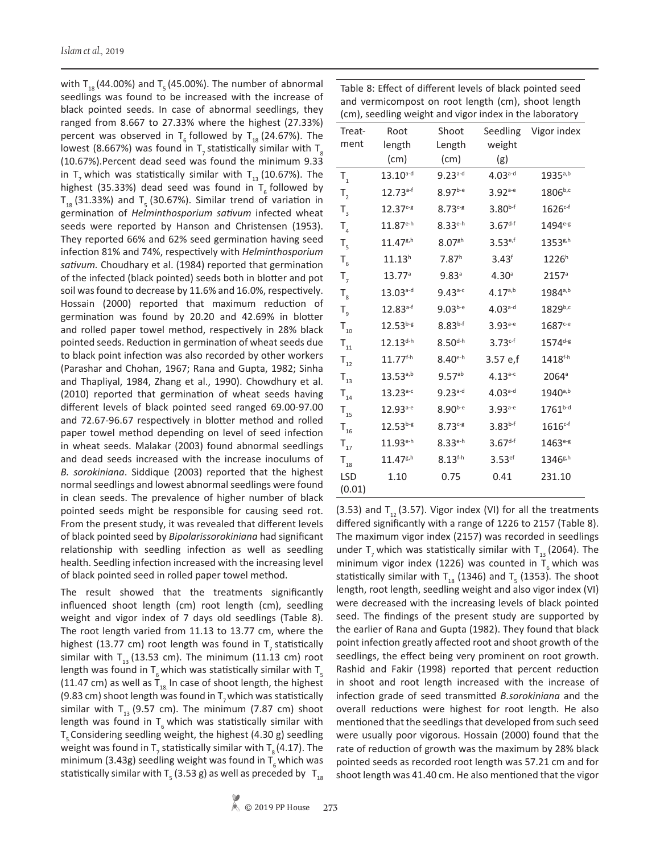with  $T_{18}$  (44.00%) and T<sub>s</sub> (45.00%). The number of abnormal seedlings was found to be increased with the increase of black pointed seeds. In case of abnormal seedlings, they ranged from 8.667 to 27.33% where the highest (27.33%) percent was observed in T<sub>6</sub> followed by T<sub>18</sub> (24.67%). The lowest (8.667%) was found in  $T<sub>z</sub>$  statistically similar with  $T<sub>z</sub>$ (10.67%).Percent dead seed was found the minimum 9.33 in T<sub>2</sub> which was statistically similar with T<sub>13</sub> (10.67%). The highest (35.33%) dead seed was found in  $T<sub>6</sub>$  followed by  $T_{18}$  (31.33%) and T<sub>5</sub> (30.67%). Similar trend of variation in germination of *Helminthosporium sativum* infected wheat seeds were reported by Hanson and Christensen (1953). They reported 66% and 62% seed germination having seed infection 81% and 74%, respectively with *Helminthosporium sativum.* Choudhary et al. (1984) reported that germination of the infected (black pointed) seeds both in blotter and pot soil was found to decrease by 11.6% and 16.0%, respectively. Hossain (2000) reported that maximum reduction of germination was found by 20.20 and 42.69% in blotter and rolled paper towel method, respectively in 28% black pointed seeds. Reduction in germination of wheat seeds due to black point infection was also recorded by other workers (Parashar and Chohan, 1967; Rana and Gupta, 1982; Sinha and Thapliyal, 1984, Zhang et al., 1990). Chowdhury et al. (2010) reported that germination of wheat seeds having different levels of black pointed seed ranged 69.00-97.00 and 72.67-96.67 respectively in blotter method and rolled paper towel method depending on level of seed infection in wheat seeds. Malakar (2003) found abnormal seedlings and dead seeds increased with the increase inoculums of *B. sorokiniana*. Siddique (2003) reported that the highest normal seedlings and lowest abnormal seedlings were found in clean seeds. The prevalence of higher number of black pointed seeds might be responsible for causing seed rot. From the present study, it was revealed that different levels of black pointed seed by *Bipolarissorokiniana* had significant relationship with seedling infection as well as seedling health. Seedling infection increased with the increasing level of black pointed seed in rolled paper towel method.

The result showed that the treatments significantly influenced shoot length (cm) root length (cm), seedling weight and vigor index of 7 days old seedlings (Table 8). The root length varied from 11.13 to 13.77 cm, where the highest (13.77 cm) root length was found in  $T<sub>z</sub>$  statistically similar with  $T_{13}$  (13.53 cm). The minimum (11.13 cm) root length was found in T<sub>6</sub> which was statistically similar with T<sub>5</sub> (11.47 cm) as well as  $T_{18}$  In case of shoot length, the highest (9.83 cm) shoot length was found in  $T<sub>z</sub>$  which was statistically similar with  $T_{13}$  (9.57 cm). The minimum (7.87 cm) shoot length was found in  $T_6$  which was statistically similar with  $T<sub>5</sub>$  Considering seedling weight, the highest (4.30 g) seedling weight was found in T<sub>7</sub> statistically similar with T<sub>8</sub> (4.17). The minimum (3.43g) seedling weight was found in  $T_{6}$  which was statistically similar with T $_{_5}$  (3.53 g) as well as preceded by  $\ _{\,\rm{T}_{18}}$ 

Table 8: Effect of different levels of black pointed seed and vermicompost on root length (cm), shoot length (cm), seedling weight and vigor index in the laboratory

| Treat-                            | Root                   | Shoot                | Seedling              | Vigor index            |
|-----------------------------------|------------------------|----------------------|-----------------------|------------------------|
| ment                              | length                 | Length               | weight                |                        |
|                                   | (cm)                   | (cm)                 | (g)                   |                        |
| $\mathsf{T}_\mathsf{1}$           | $13.10^{a-d}$          | $9.23^{a-d}$         | $4.03^{a-d}$          | $1935^{a,b}$           |
| $T_{2}$                           | $12.73^{a-f}$          | $8.97^{b-e}$         | $3.92$ <sup>a-e</sup> | 1806b,c                |
| $\mathsf{T}_{_3}$                 | $12.37c-g$             | $8.73c-8$            | $3.80^{b-f}$          | $1626c-f$              |
| ${\sf T}_4$                       | $11.87^{e-h}$          | $8.33e^{-h}$         | $3.67^{d-f}$          | 1494 <sup>e-g</sup>    |
| $T_{\rm 5}$                       | $11.47^{g,h}$          | $8.07$ <sup>gh</sup> | $3.53^{e,f}$          | $1353^{g,h}$           |
| $T_{6}$                           | $11.13^{h}$            | 7.87 <sup>h</sup>    | 3.43 <sup>f</sup>     | $1226^h$               |
| $T_{7}$                           | 13.77 <sup>a</sup>     | 9.83 <sup>a</sup>    | 4.30 <sup>a</sup>     | $2157^a$               |
| $\mathsf{T}_{_{8}}$               | $13.03^{a-d}$          | $9.43^{a.c}$         | $4.17^{a,b}$          | $1984^{a,b}$           |
| $\mathsf{T}_{\mathsf{g}}$         | $12.83^{a-f}$          | $9.03^{b-e}$         | $4.03^{a-d}$          | $1829^{b,c}$           |
| $\mathsf{T}_{\mathsf{10}}$        | $12.53^{b-g}$          | $8.83^{b-f}$         | $3.93a-e}$            | $1687c-e$              |
| ${\sf T}_{_{11}}$                 | $12.13^{d-h}$          | $8.50^{d-h}$         | $3.73c-f$             | $1574^{d-g}$           |
| $\mathsf{T}_{_{12}}$              | $11.77^{f-h}$          | $8.40^{e-h}$         | 3.57 e,f              | $1418^{\rm f \cdot h}$ |
| $T_{13}$                          | $13.53^{a,b}$          | $9.57^{ab}$          | $4.13^{a.c}$          | 2064 <sup>a</sup>      |
| $T_{14}$                          | $13.23^{a-c}$          | $9.23^{a-d}$         | $4.03^{a-d}$          | $1940^{a,b}$           |
| ${\sf T}_{_{15}}$                 | $12.93$ <sup>a-e</sup> | $8.90^{b-e}$         | $3.93^{a-e}$          | $1761^{b-d}$           |
| $\mathsf{T}_{_{16}}$              | $12.53^{b-g}$          | $8.73c-g$            | $3.83^{b-f}$          | $1616^{c-f}$           |
| ${\sf T}_{\scriptscriptstyle 17}$ | $11.93^{e-h}$          | $8.33e^{-h}$         | $3.67^{d-f}$          | $1463^{e-g}$           |
| $\mathsf{T}_{_{18}}$              | $11.47^{g,h}$          | $8.13^{f-h}$         | $3.53$ ef             | $1346^{g,h}$           |
| <b>LSD</b>                        | 1.10                   | 0.75                 | 0.41                  | 231.10                 |
| (0.01)                            |                        |                      |                       |                        |

(3.53) and  $T_{12}$  (3.57). Vigor index (VI) for all the treatments differed significantly with a range of 1226 to 2157 (Table 8). The maximum vigor index (2157) was recorded in seedlings under T<sub>7</sub> which was statistically similar with T<sub>13</sub> (2064). The minimum vigor index (1226) was counted in  $T_6$  which was statistically similar with  $T_{18}$  (1346) and  $T_{5}$  (1353). The shoot length, root length, seedling weight and also vigor index (VI) were decreased with the increasing levels of black pointed seed. The findings of the present study are supported by the earlier of Rana and Gupta (1982). They found that black point infection greatly affected root and shoot growth of the seedlings, the effect being very prominent on root growth. Rashid and Fakir (1998) reported that percent reduction in shoot and root length increased with the increase of infection grade of seed transmitted *B.sorokiniana* and the overall reductions were highest for root length. He also mentioned that the seedlings that developed from such seed were usually poor vigorous. Hossain (2000) found that the rate of reduction of growth was the maximum by 28% black pointed seeds as recorded root length was 57.21 cm and for shoot length was 41.40 cm. He also mentioned that the vigor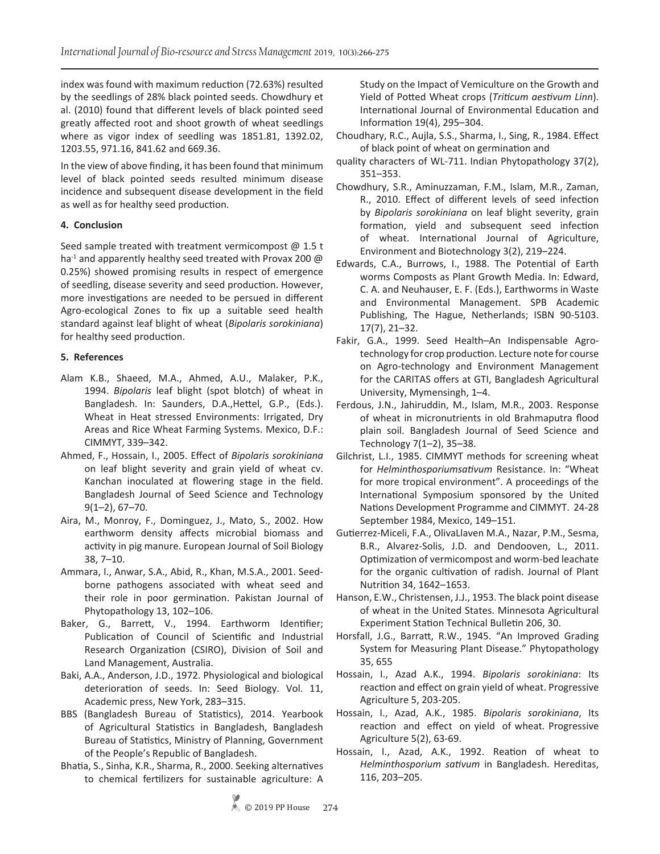index was found with maximum reduction (72.63%) resulted by the seedlings of 28% black pointed seeds. Chowdhury et al. (2010) found that different levels of black pointed seed greatly affected root and shoot growth of wheat seedlings where as vigor index of seedling was 1851.81, 1392.02, 1203.55, 971.16, 841.62 and 669.36.

In the view of above finding, it has been found that minimum level of black pointed seeds resulted minimum disease incidence and subsequent disease development in the field as well as for healthy seed production.

## **4. Conclusion**

Seed sample treated with treatment vermicompost @ 1.5 t ha<sup>-1</sup> and apparently healthy seed treated with Provax 200  $\omega$ 0.25%) showed promising results in respect of emergence of seedling, disease severity and seed production. However, more investigations are needed to be persued in different Agro-ecological Zones to fix up a suitable seed health standard against leaf blight of wheat (*Bipolaris sorokiniana*) for healthy seed production.

### **5. References**

- Alam K.B., Shaeed, M.A., Ahmed, A.U., Malaker, P.K., 1994. *Bipolaris* leaf blight (spot blotch) of wheat in Bangladesh. In: Saunders, D.A.,Hettel, G.P., (Eds.). Wheat in Heat stressed Environments: Irrigated, Dry Areas and Rice Wheat Farming Systems. Mexico, D.F.: CIMMYT, 339–342.
- Ahmed, F., Hossain, I., 2005. Effect of *Bipolaris sorokiniana* on leaf blight severity and grain yield of wheat cv. Kanchan inoculated at flowering stage in the field. Bangladesh Journal of Seed Science and Technology 9(1–2), 67–70.
- Aira, M., Monroy, F., Dominguez, J., Mato, S., 2002. How earthworm density affects microbial biomass and activity in pig manure. European Journal of Soil Biology 38, 7–10.
- Ammara, I., Anwar, S.A., Abid, R., Khan, M.S.A., 2001. Seedborne pathogens associated with wheat seed and their role in poor germination. Pakistan Journal of Phytopathology 13, 102–106.
- Baker, G., Barrett, V., 1994. Earthworm Identifier; Publication of Council of Scientific and Industrial Research Organization (CSIRO), Division of Soil and Land Management, Australia.
- Baki, A.A., Anderson, J.D., 1972. Physiological and biological deterioration of seeds. In: Seed Biology. Vol. 11, Academic press, New York, 283–315.
- BBS (Bangladesh Bureau of Statistics), 2014. Yearbook of Agricultural Statistics in Bangladesh, Bangladesh Bureau of Statistics, Ministry of Planning, Government of the People's Republic of Bangladesh.
- Bhatia, S., Sinha, K.R., Sharma, R., 2000. Seeking alternatives to chemical fertilizers for sustainable agriculture: A

Study on the Impact of Vemiculture on the Growth and Yield of Potted Wheat crops (*Triticum aestivum Linn*). International Journal of Environmental Education and Information 19(4), 295–304.

- Choudhary, R.C., Aujla, S.S., Sharma, I., Sing, R., 1984. Effect of black point of wheat on germination and
- quality characters of WL-711. Indian Phytopathology 37(2), 351–353.
- Chowdhury, S.R., Aminuzzaman, F.M., Islam, M.R., Zaman, R., 2010. Effect of different levels of seed infection by *Bipolaris sorokiniana* on leaf blight severity, grain formation, yield and subsequent seed infection of wheat. International Journal of Agriculture, Environment and Biotechnology 3(2), 219–224.
- Edwards, C.A., Burrows, I., 1988. The Potential of Earth worms Composts as Plant Growth Media. In: Edward, C. A. and Neuhauser, E. F. (Eds.), Earthworms in Waste and Environmental Management. SPB Academic Publishing, The Hague, Netherlands; ISBN 90-5103. 17(7), 21–32.
- Fakir, G.A., 1999. Seed Health–An Indispensable Agrotechnology for crop production. Lecture note for course on Agro-technology and Environment Management for the CARITAS offers at GTI, Bangladesh Agricultural University, Mymensingh, 1–4.
- Ferdous, J.N., Jahiruddin, M., Islam, M.R., 2003. Response of wheat in micronutrients in old Brahmaputra flood plain soil. Bangladesh Journal of Seed Science and Technology 7(1–2), 35–38.
- Gilchrist, L.I., 1985. CIMMYT methods for screening wheat for *Helminthosporiumsativum* Resistance. In: "Wheat for more tropical environment". A proceedings of the International Symposium sponsored by the United Nations Development Programme and CIMMYT. 24-28 September 1984, Mexico, 149–151.
- Gutierrez-Miceli, F.A., OlivaLlaven M.A., Nazar, P.M., Sesma, B.R., Alvarez-Solis, J.D. and Dendooven, L., 2011. Optimization of vermicompost and worm-bed leachate for the organic cultivation of radish. Journal of Plant Nutrition 34, 1642–1653.
- Hanson, E.W., Christensen, J.J., 1953. The black point disease of wheat in the United States. Minnesota Agricultural Experiment Station Technical Bulletin 206, 30.
- Horsfall, J.G., Barratt, R.W., 1945. "An Improved Grading System for Measuring Plant Disease." Phytopathology 35, 655
- Hossain, I., Azad A.K., 1994. *Bipolaris sorokiniana*: Its reaction and effect on grain yield of wheat. Progressive Agriculture 5, 203-205.
- Hossain, I., Azad, A.K., 1985. *Bipolaris sorokiniana*, Its reaction and effect on yield of wheat*.* Progressive Agriculture 5(2), 63-69.
- Hossain, I., Azad, A.K., 1992. Reation of wheat to *Helminthosporium sativum* in Bangladesh. Hereditas, 116, 203–205.